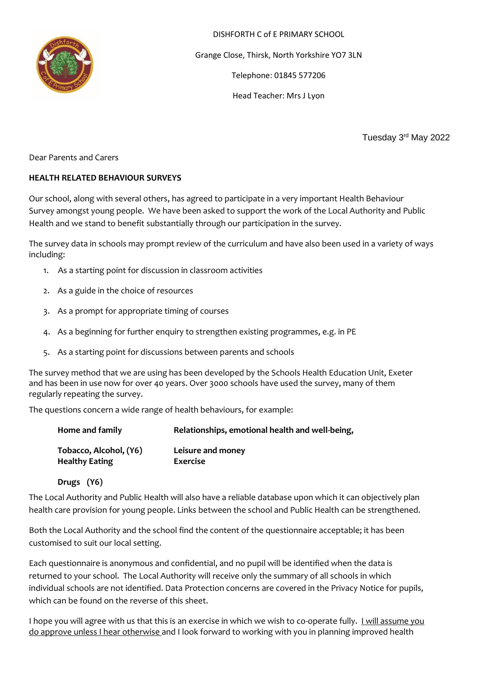

DISHFORTH C of E PRIMARY SCHOOL Grange Close, Thirsk, North Yorkshire YO7 3LN Telephone: 01845 577206 Head Teacher: Mrs J Lyon

Tuesday 3rd May 2022

Dear Parents and Carers

#### **HEALTH RELATED BEHAVIOUR SURVEYS**

Our school, along with several others, has agreed to participate in a very important Health Behaviour Survey amongst young people. We have been asked to support the work of the Local Authority and Public Health and we stand to benefit substantially through our participation in the survey.

The survey data in schools may prompt review of the curriculum and have also been used in a variety of ways including:

- 1. As a starting point for discussion in classroom activities
- 2. As a guide in the choice of resources
- 3. As a prompt for appropriate timing of courses
- 4. As a beginning for further enquiry to strengthen existing programmes, e.g. in PE
- 5. As a starting point for discussions between parents and schools

The survey method that we are using has been developed by the Schools Health Education Unit, Exeter and has been in use now for over 40 years. Over 3000 schools have used the survey, many of them regularly repeating the survey.

The questions concern a wide range of health behaviours, for example:

| Home and family        | Relationships, emotional health and well-being, |
|------------------------|-------------------------------------------------|
| Tobacco, Alcohol, (Y6) | Leisure and money                               |
| <b>Healthy Eating</b>  | Exercise                                        |

**Drugs (Y6)**

The Local Authority and Public Health will also have a reliable database upon which it can objectively plan health care provision for young people. Links between the school and Public Health can be strengthened.

Both the Local Authority and the school find the content of the questionnaire acceptable; it has been customised to suit our local setting.

Each questionnaire is anonymous and confidential, and no pupil will be identified when the data is returned to your school. The Local Authority will receive only the summary of all schools in which individual schools are not identified. Data Protection concerns are covered in the Privacy Notice for pupils, which can be found on the reverse of this sheet.

I hope you will agree with us that this is an exercise in which we wish to co-operate fully. I will assume you do approve unless I hear otherwise and I look forward to working with you in planning improved health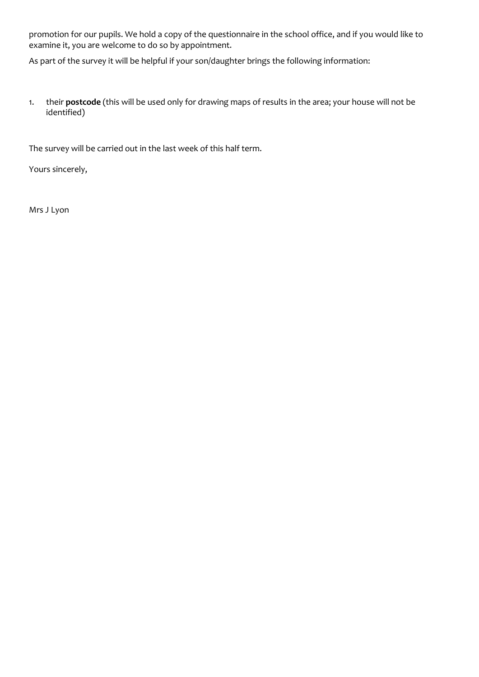promotion for our pupils. We hold a copy of the questionnaire in the school office, and if you would like to examine it, you are welcome to do so by appointment.

As part of the survey it will be helpful if your son/daughter brings the following information:

1. their **postcode** (this will be used only for drawing maps of results in the area; your house will not be identified)

The survey will be carried out in the last week of this half term.

Yours sincerely,

Mrs J Lyon